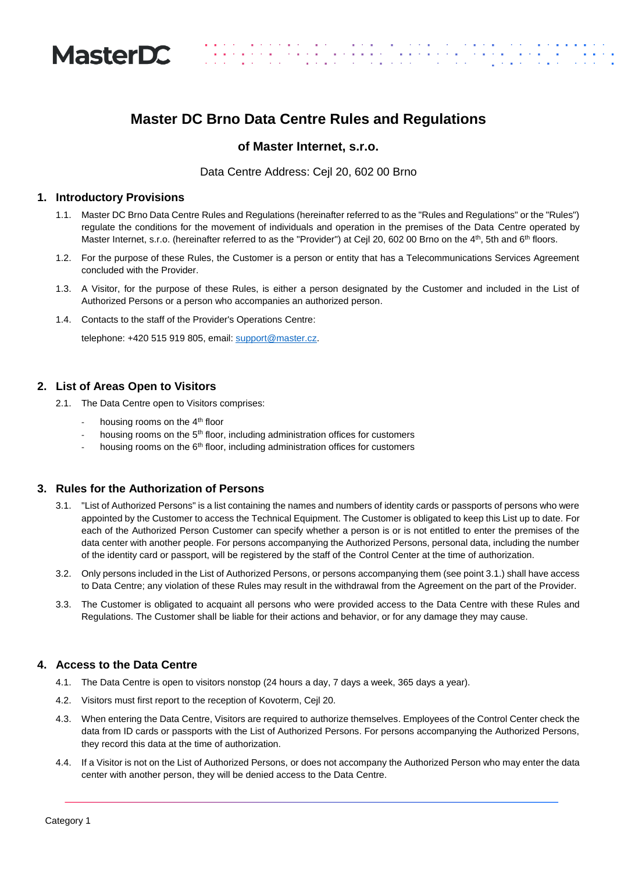

# **Master DC Brno Data Centre Rules and Regulations**

1999 - Paul II<br>1999 - Paul II

# **of Master Internet, s.r.o.**

Data Centre Address: Cejl 20, 602 00 Brno

### **1. Introductory Provisions**

- 1.1. Master DC Brno Data Centre Rules and Regulations (hereinafter referred to as the "Rules and Regulations" or the "Rules") regulate the conditions for the movement of individuals and operation in the premises of the Data Centre operated by Master Internet, s.r.o. (hereinafter referred to as the "Provider") at Cejl 20, 602 00 Brno on the 4<sup>th</sup>, 5th and 6<sup>th</sup> floors.
- 1.2. For the purpose of these Rules, the Customer is a person or entity that has a Telecommunications Services Agreement concluded with the Provider.
- 1.3. A Visitor, for the purpose of these Rules, is either a person designated by the Customer and included in the List of Authorized Persons or a person who accompanies an authorized person.
- 1.4. Contacts to the staff of the Provider's Operations Centre:

telephone: +420 515 919 805, email[: support@master.cz.](mailto:support@master.cz)

### **2. List of Areas Open to Visitors**

- 2.1. The Data Centre open to Visitors comprises:
	- housing rooms on the 4<sup>th</sup> floor
	- housing rooms on the 5<sup>th</sup> floor, including administration offices for customers
	- housing rooms on the  $6<sup>th</sup>$  floor, including administration offices for customers

# **3. Rules for the Authorization of Persons**

- 3.1. "List of Authorized Persons" is a list containing the names and numbers of identity cards or passports of persons who were appointed by the Customer to access the Technical Equipment. The Customer is obligated to keep this List up to date. For each of the Authorized Person Customer can specify whether a person is or is not entitled to enter the premises of the data center with another people. For persons accompanying the Authorized Persons, personal data, including the number of the identity card or passport, will be registered by the staff of the Control Center at the time of authorization.
- 3.2. Only persons included in the List of Authorized Persons, or persons accompanying them (see point 3.1.) shall have access to Data Centre; any violation of these Rules may result in the withdrawal from the Agreement on the part of the Provider.
- 3.3. The Customer is obligated to acquaint all persons who were provided access to the Data Centre with these Rules and Regulations. The Customer shall be liable for their actions and behavior, or for any damage they may cause.

# **4. Access to the Data Centre**

- 4.1. The Data Centre is open to visitors nonstop (24 hours a day, 7 days a week, 365 days a year).
- 4.2. Visitors must first report to the reception of Kovoterm, Cejl 20.
- 4.3. When entering the Data Centre, Visitors are required to authorize themselves. Employees of the Control Center check the data from ID cards or passports with the List of Authorized Persons. For persons accompanying the Authorized Persons, they record this data at the time of authorization.
- 4.4. If a Visitor is not on the List of Authorized Persons, or does not accompany the Authorized Person who may enter the data center with another person, they will be denied access to the Data Centre.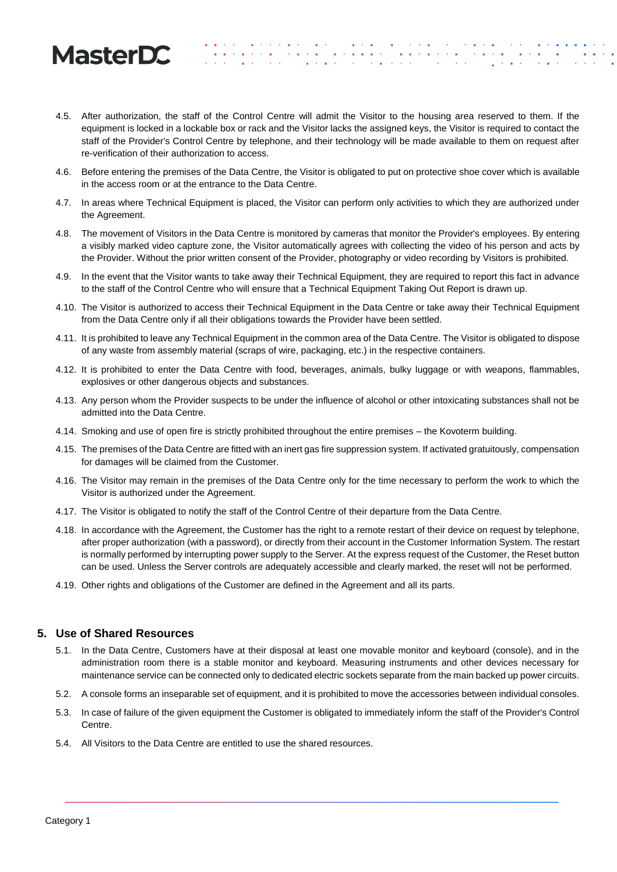# **MasterDC**

4.5. After authorization, the staff of the Control Centre will admit the Visitor to the housing area reserved to them. If the equipment is locked in a lockable box or rack and the Visitor lacks the assigned keys, the Visitor is required to contact the staff of the Provider's Control Centre by telephone, and their technology will be made available to them on request after re-verification of their authorization to access.

المستخدم المستخدم المستخدم المستخدم المستخدم المستخدم المستخدم المستخدم المستخدم المستخدم المستخدم المستخدم ال<br>والمستخدم المستخدم المستخدم المستخدم المستخدم المستخدم المستخدم المستخدم المستخدم المستخدم المستخدم المستخدم ا

. . . . . . .<br>. . . . . . .

- 4.6. Before entering the premises of the Data Centre, the Visitor is obligated to put on protective shoe cover which is available in the access room or at the entrance to the Data Centre.
- 4.7. In areas where Technical Equipment is placed, the Visitor can perform only activities to which they are authorized under the Agreement.
- 4.8. The movement of Visitors in the Data Centre is monitored by cameras that monitor the Provider's employees. By entering a visibly marked video capture zone, the Visitor automatically agrees with collecting the video of his person and acts by the Provider. Without the prior written consent of the Provider, photography or video recording by Visitors is prohibited.
- 4.9. In the event that the Visitor wants to take away their Technical Equipment, they are required to report this fact in advance to the staff of the Control Centre who will ensure that a Technical Equipment Taking Out Report is drawn up.
- 4.10. The Visitor is authorized to access their Technical Equipment in the Data Centre or take away their Technical Equipment from the Data Centre only if all their obligations towards the Provider have been settled.
- 4.11. It is prohibited to leave any Technical Equipment in the common area of the Data Centre. The Visitor is obligated to dispose of any waste from assembly material (scraps of wire, packaging, etc.) in the respective containers.
- 4.12. It is prohibited to enter the Data Centre with food, beverages, animals, bulky luggage or with weapons, flammables, explosives or other dangerous objects and substances.
- 4.13. Any person whom the Provider suspects to be under the influence of alcohol or other intoxicating substances shall not be admitted into the Data Centre.
- 4.14. Smoking and use of open fire is strictly prohibited throughout the entire premises the Kovoterm building.
- 4.15. The premises of the Data Centre are fitted with an inert gas fire suppression system. If activated gratuitously, compensation for damages will be claimed from the Customer.
- 4.16. The Visitor may remain in the premises of the Data Centre only for the time necessary to perform the work to which the Visitor is authorized under the Agreement.
- 4.17. The Visitor is obligated to notify the staff of the Control Centre of their departure from the Data Centre.
- 4.18. In accordance with the Agreement, the Customer has the right to a remote restart of their device on request by telephone, after proper authorization (with a password), or directly from their account in the Customer Information System. The restart is normally performed by interrupting power supply to the Server. At the express request of the Customer, the Reset button can be used. Unless the Server controls are adequately accessible and clearly marked, the reset will not be performed.
- 4.19. Other rights and obligations of the Customer are defined in the Agreement and all its parts.

# **5. Use of Shared Resources**

- 5.1. In the Data Centre, Customers have at their disposal at least one movable monitor and keyboard (console), and in the administration room there is a stable monitor and keyboard. Measuring instruments and other devices necessary for maintenance service can be connected only to dedicated electric sockets separate from the main backed up power circuits.
- 5.2. A console forms an inseparable set of equipment, and it is prohibited to move the accessories between individual consoles.
- 5.3. In case of failure of the given equipment the Customer is obligated to immediately inform the staff of the Provider's Control Centre.
- 5.4. All Visitors to the Data Centre are entitled to use the shared resources.